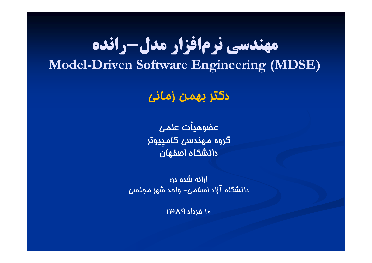## **مهندسي <sup>ر</sup> ن مافزار مدل-رانده**  $\bf{Model-Driven\ Software\ Engineering\ (MDSE)}$

دكتر بهمن زماني

عضوهيأت علمى گروه مهندسي كامپيوتر دانشگاه اصفهان

ارائه شده در: دانشگاه آزاد اسلامي- واحد شهر مجلسي

١٥ خرداد ١٣٨٩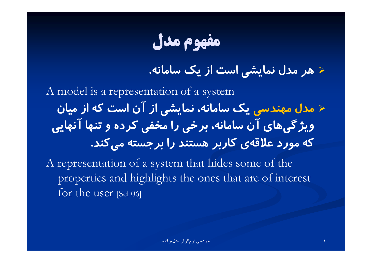**مفهوم مدل**

3/4 **هر مدل نمايشي است از يك سامانه.**

A model is a representation of a system  $\blacktriangleright$  **مدل مهندسي يك سامانه، نمايشي از آن است كه از ميان گ ويژ يهاي آن سامانه، <sup>خ</sup> بر <sup>ي</sup> را مخفي كرده <sup>و</sup> تنها آن اه يي كه مورد علاقهي كاربر هستند را برجسته ميكند.**

A representation of a system that hides some of the properties and highlights the ones that are of interest for the user [Sel 06]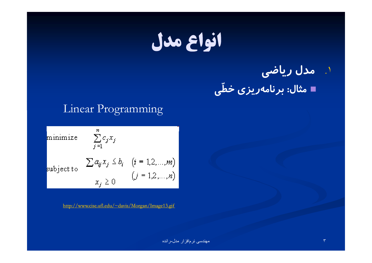.١ **مدل رياضي**

**ي مثال: برنامهريزي خط**

**ّ**

#### Linear Programming

minimize  $\sum_{j=1}^n c_j x_j$ subject to  $\left[\begin{array}{cc} \sum a_{ij}x_j \leq b_i & (i = 1, 2, ..., m) \\ x_j \geq 0 & (j = 1, 2, ..., n) \end{array}\right]$ 

http://www.cise.ufl.edu/~davis/Morgan/Image13.gif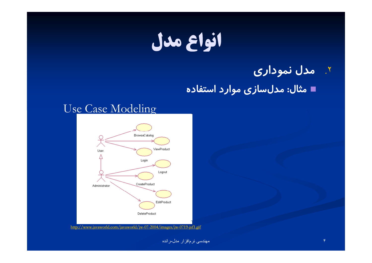#### .٢ **مدل نموداري**

**مثال: مدلسازي موارد استفاده**

#### Use Case Modeling



http://www.javaworld.com/javaworld/jw-07-2004/images/jw-0719-jsf1.gif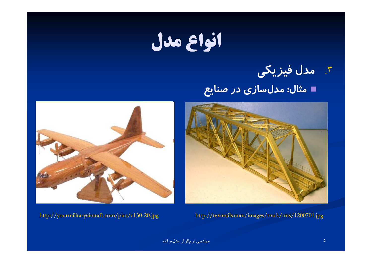.٣ **مدل فيزيكي**

**مثال: مدلسازي در صنايع**





http://yourmilitaryaircraft.com/pics/c130-20.jpg http://texnrails.com/images/track/tms/1200701.jpg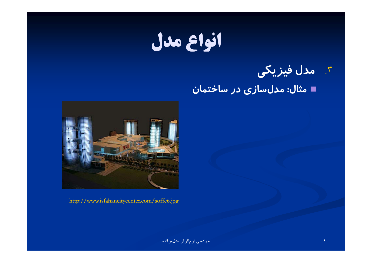.٣ **مدل فيزيكي**

**مثال: مدلسازي در ساختمان**



http://www.isfahancitycenter.com/soffe6.jpg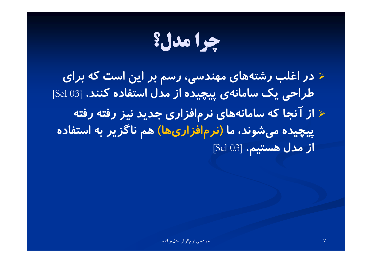# **چرا مدل؟**

3/4 **در <sup>غ</sup> <sup>ا</sup> لب رشتههاي مهندسي، رسم بر اين است كه براي طراحي يك سامانهي پيچيده از مدل استفاده كنند.** [03 Sel[  $\blacktriangleright$  **از آنجا كه سامانههاي نرمافزاري جديد نيز رفته رفته پيچيده ميشوند، ما (نرمافزاريها) هم ناگزير به استفاده از مدل هستيم.** [03 Sel[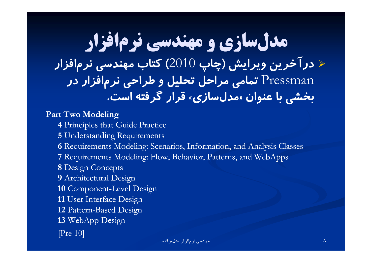### **مدلسازي <sup>و</sup> مهندسي نرمافزار**  $\blacktriangleright$  **درآخرين ويرايش (چاپ** <sup>2010</sup>**) كتاب مهندسي نرمافزار** Pressman **تمامي مراحل تحليل <sup>و</sup> طراحي نرمافزار در خش <sup>ب</sup> <sup>ي</sup> با عن او <sup>ن</sup> «مدلسازي» <sup>ق</sup> ار <sup>ر</sup> گرفته است.**

#### **Part Two Modeling**

- **4** Principles that Guide Practice
- **5** Understanding Requirements
- **6** Requirements Modeling: Scenarios, Information, and Analysis Classes
- **7** Requirements Modeling: Flow, Behavior, Patterns, and WebApps
- **8** Design Concepts
- **9** Architectural Design
- **10** Component-Level Design
- **11** User Interface Design
- **12** Pattern-Based Design
- **13** WebApp Design
- [Pre 10]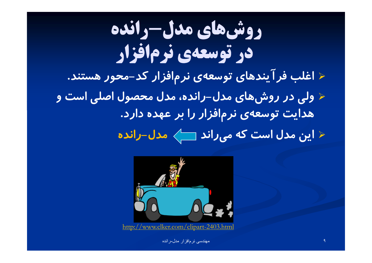**روشهاي مدل-رانده در توسعهي نرمافزار**  $\blacktriangleright$  **<sup>غ</sup> <sup>ا</sup> لب فر يندهفآ اي توسعهي نرم <sup>ز</sup> اف ار كد-محور هستند.** 3/4 **لو <sup>ي</sup> در روشهاي مدل- رانده، مدل محصول اصلي است <sup>و</sup> هدايت توسعهي نرمافزار را بر عهده دارد.** 3/4 **اين مدل است كه ميراند مدل-رانده**



http://www.clker.com/clipart-2403.html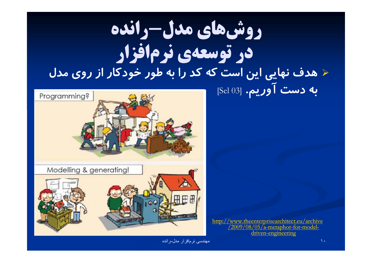## **روشهاي مدل-رانده در توسعهي نرمافزار** 3/4 **هدف نهايي <sup>ي</sup><sup>ا</sup> <sup>ن</sup> <sup>س</sup> <sup>ا</sup> <sup>ت</sup> كه كد را به طور وخ دكار از روي مدل** به دست **آوريم.** [93 Sel]



http://www.theenterprisearchitect.eu/archive<br>/2009/08/05/a-metaphor-for-modeldriven-engineering

مهندسی نرمافزار مدل-رانده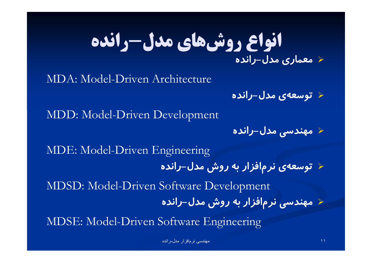## **انواع روشهاي مدل-رانده** 3/4 **معماري مدل- رانده**

MDA: Model-Driven Architecture

3/4 **توسعهي مدل-رانده**

MDD: Model-Driven Development

3/4 **مهندسي مدل-رانده**

MDE: Model-Driven Engineering 3/4 **توسعهي نرمافزار به روش مدل-رانده** MDSD: Model-Driven Software Development 3/4 **مهندسي نرمافزار به روش مدل- رانده** MDSE: Model-Driven Software Engineering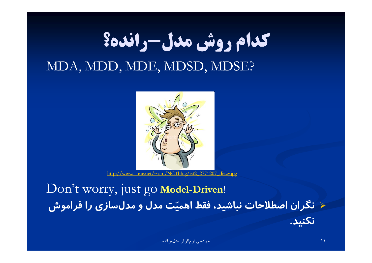## **كدام روش مدل-رانده؟** MDA, MDD, MDE, MDSD, MDSE?



http://www.t-one.net/~om/NCTblog/ist2\_2771207\_dizzy.jpg

Don't worry, just go Model-Driven! 3/4 **نگران اصطلاحات نباشيد، فقط اهميت مدل <sup>و</sup> مدلسازي را فراموش <sup>ي</sup> نكن <sup>د</sup>.**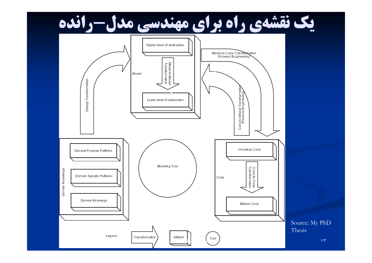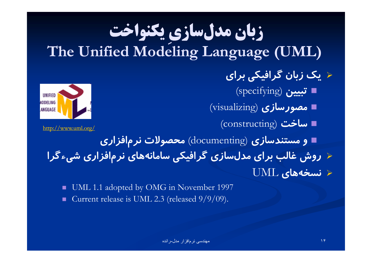#### **يكنواخت ِ سازي زبان مدل The Unified Modeling Language (UML)**

### 3/4 **يك زبان <sup>ر</sup> <sup>ي</sup> <sup>گ</sup> اف كي براي**

- **تبيين** (specifying(
- **مصورسازي** (visualizing(
	- http://www.uml.org/ (constructing) **ساخت**



 $http://www.uml.org/$ 

 **<sup>و</sup> مستندسازي** (documenting (**محصولات نرمافزاري** ≺ روش غالب برای مدلسازی گرافیکی سامانههای نرم|فزاری شیءگرا 3/4 **نسخههاي** UML

ш UML 1.1 adopted by OMG in November 1997 Current release is UML 2.3 (released  $9/9/09$ ).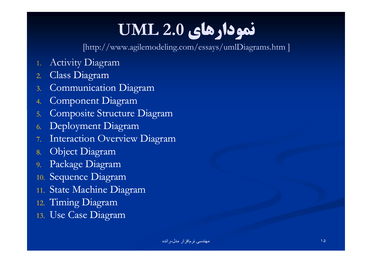## **نمودارهاي 2.0 UML**

[http://www.agilemodeling.com/essays/umlDiagrams.htm ]

- 1.Activity Diagram
- 2.Class Diagram
- 3.Communication Diagram
- 4.Component Diagram
- 5. Composite Structure Diagram
- 6.Deployment Diagram
- 7.Interaction Overview Diagram
- 8.Object Diagram
- 9. Package Diagram
- 10. Sequence Diagram
- 11. State Machine Diagram
- 12. Timing Diagram
- 13. Use Case Diagram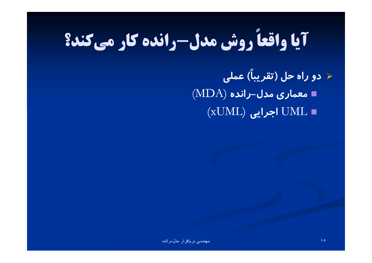# **روش مدل-رانده كار ميكند؟ آيا واقعاً**

**) عملي ً** 3/4 **دو راه حل (تقريبا معماري مدل-رانده** (MDA( (xUML) **اجرايي** UML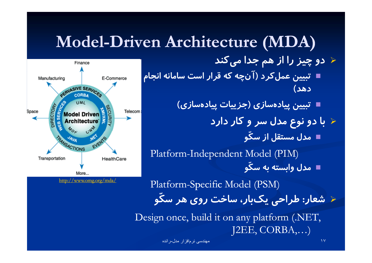## **Model-Driven Architecture (MDA)**

3/4 **دو چيز را از هم جدا ميكند تبيين عملكرد (آنچه كه قرار است سامانه انجام دهد)**

**تبيين پيادهسازي (جزييات پيادهسازي)**

3/4 **با دو نوع مدل سر <sup>و</sup> كار دارد و ّمدل مستقل از سك**

Platform-Independent Model (PIM) **و** <u>لدا</u> **مدل وابسته به سك**

 $\frac{\text{http://www.omg.org/mda/}}{\text{http://www.omg.org/mda/}}$  Platform-Specific Model (PSM)

**و** <u>ل</u>انا 3/4 **شعار: طراحي يكبار، ساخت روي هر سك**

Design once, build it on any platform (.NET,  $J2EE$ , CORBA,...)

مهندسی نرمافزار مدل-رانده

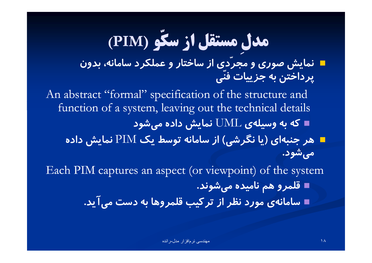#### **سكو (PIM( ّمستقل از سك ِ مدل**

- **دي از ساختار <sup>و</sup> عملكرد سامانه، بدون ّ**= نمایش صوری و محر **نمايش صوري <sup>و</sup> مجري ّپرداختن به جزييات فن**
- An abstract "formal" specification of the structure and function of a system, leaving out the technical details **كه به وسيلهي** UML **نمايش داده ميشود**
	- **هر جنبهاي (يا نگرشي) از سامانه توسط يك** PIM **نمايش داده ميشود.**
- Each PIM captures an aspect (or viewpoint) of the system **قلمرو هم ناميده ميشوند.**
	- T **سامانهي مورد نظر از تركيب قلمروها به دست ميآيد.**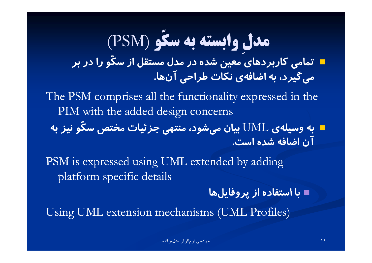#### **سكو** (PSM( **ّسكوابسته به ِ مدل**

**<sup>و</sup> را در بر ّتمامي كاربردهاي معين شده در مدل مستقل از سكميگيرد، به اضافهي نكات طراحي آنها.**

The PSM comprises all the functionality expressed in the PIM with the added design concerns

**و نيز به ّ**■ به وسیلهی UML بیان میشود، منتهی جزئیات مختص سک<br>|آن اضافه شده است.

PSM is expressed using UML extended by adding platform specific details

**با <sup>س</sup> <sup>ا</sup> تفاده از پرو <sup>ي</sup> فا لها**

Using UML extension mechanisms (UML Profiles)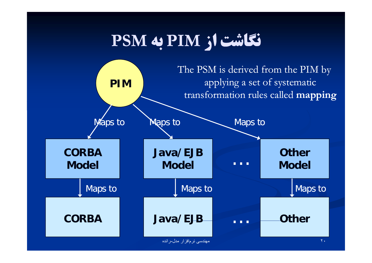## **نگاشت از PIM به PSM**

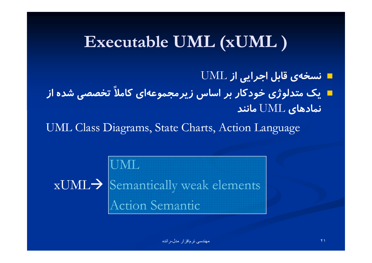## **Executable UML (xUML )**

**نسخهي قابل اجرايي از** UML

**تخصصي شده از ً يك متدلوژي خودكار بر اساس زيرمجموعهاي كاملا نمادهاي** UML **مانند**

UML Class Diagrams, State Charts, Action Language

UML  $\mathrm{xUML}\bm{\rightarrow}$  [Semantically weak elements Action Semantic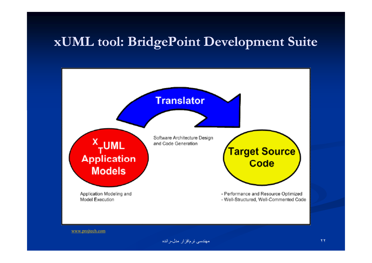### **xUML tool: BridgePoint Development Suite**



www.projtech.com

مهندسی نرمافزار مدل-رانده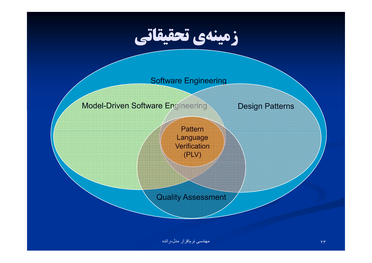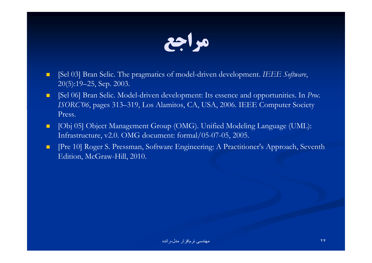

- **E** [Sel 03] Bran Selic. The pragmatics of model-driven development. *IEEE Software*, 20(5):19–25, Sep. 2003.
- $\blacksquare$  [Sel 06] Bran Selic. Model-driven development: Its essence and opportunities. In *Proc. ISORC'06*, pages 313–319, Los Alamitos, CA, USA, 2006. IEEE Computer Society Press.
- $\blacksquare$  [Obj 05] Object Management Group (OMG). Unified Modeling Language (UML): Infrastructure, v2.0. OMG document: formal/05-07-05, 2005.
- $\blacksquare$  [Pre 10] Roger S. Pressman, Software Engineering: A Practitioner's Approach, Seventh Edition, McGraw-Hill, 2010.